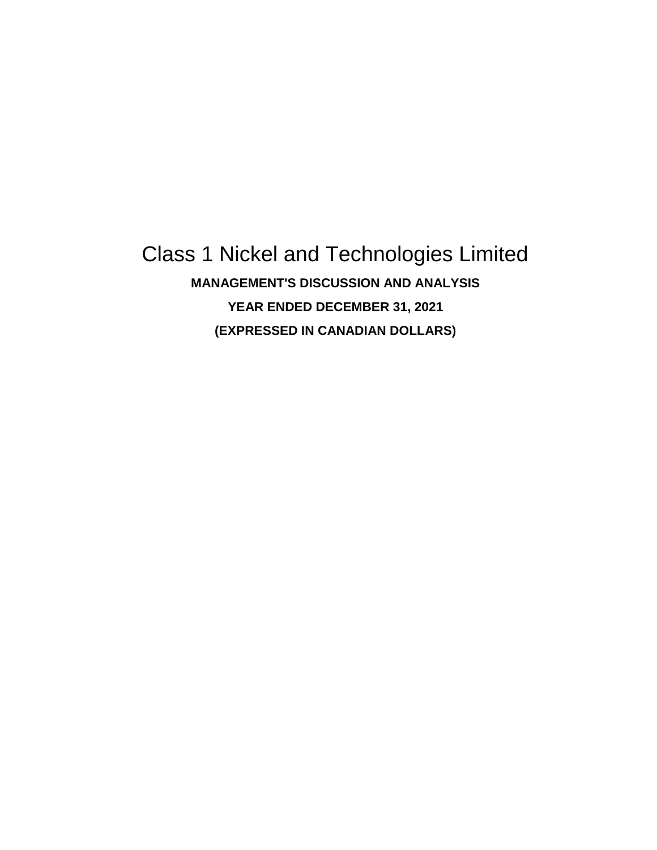# Class 1 Nickel and Technologies Limited **MANAGEMENT'S DISCUSSION AND ANALYSIS YEAR ENDED DECEMBER 31, 2021 (EXPRESSED IN CANADIAN DOLLARS)**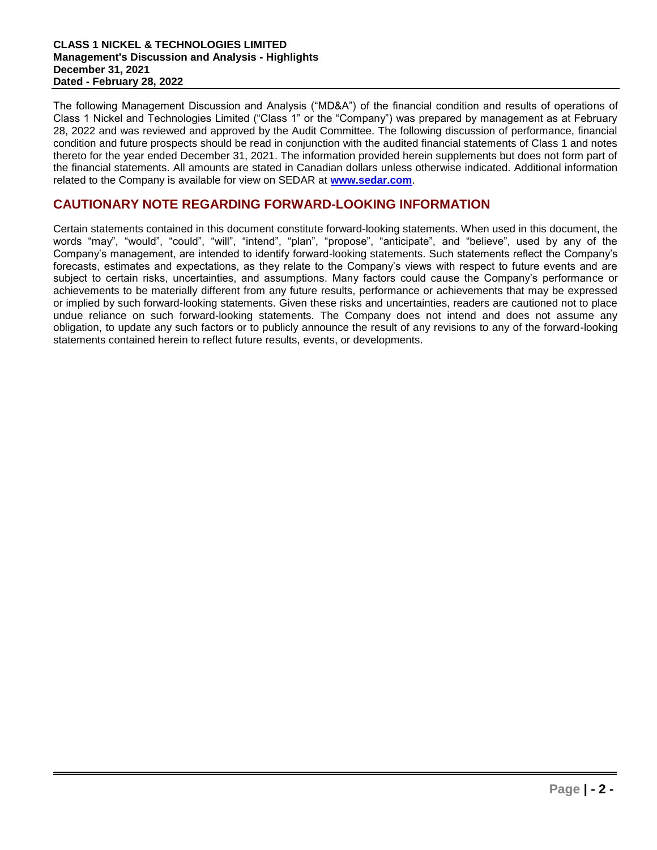The following Management Discussion and Analysis ("MD&A") of the financial condition and results of operations of Class 1 Nickel and Technologies Limited ("Class 1" or the "Company") was prepared by management as at February 28, 2022 and was reviewed and approved by the Audit Committee. The following discussion of performance, financial condition and future prospects should be read in conjunction with the audited financial statements of Class 1 and notes thereto for the year ended December 31, 2021. The information provided herein supplements but does not form part of the financial statements. All amounts are stated in Canadian dollars unless otherwise indicated. Additional information related to the Company is available for view on SEDAR at **www.sedar.com**.

# **CAUTIONARY NOTE REGARDING FORWARD-LOOKING INFORMATION**

Certain statements contained in this document constitute forward-looking statements. When used in this document, the words "may", "would", "could", "will", "intend", "plan", "propose", "anticipate", and "believe", used by any of the Company's management, are intended to identify forward-looking statements. Such statements reflect the Company's forecasts, estimates and expectations, as they relate to the Company's views with respect to future events and are subject to certain risks, uncertainties, and assumptions. Many factors could cause the Company's performance or achievements to be materially different from any future results, performance or achievements that may be expressed or implied by such forward-looking statements. Given these risks and uncertainties, readers are cautioned not to place undue reliance on such forward-looking statements. The Company does not intend and does not assume any obligation, to update any such factors or to publicly announce the result of any revisions to any of the forward-looking statements contained herein to reflect future results, events, or developments.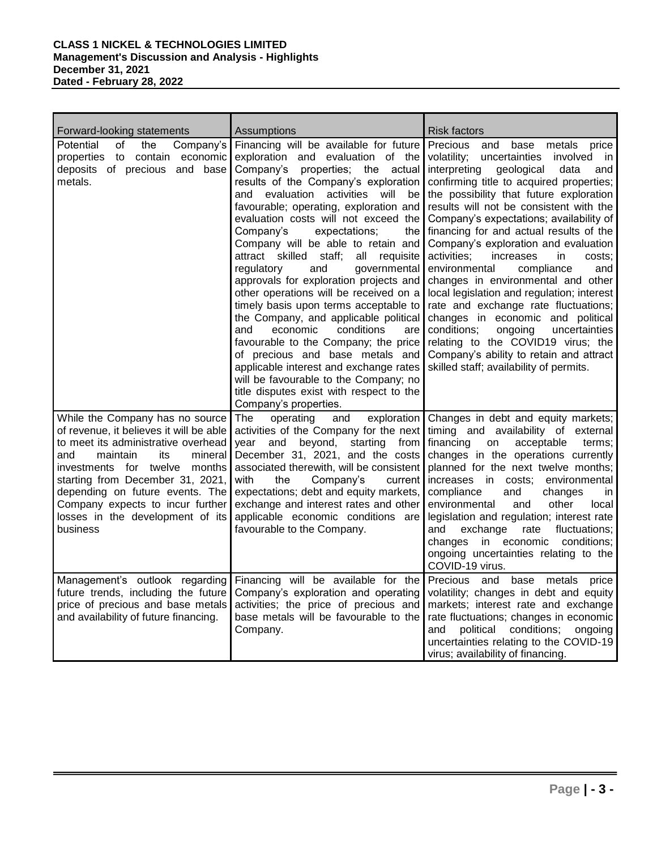| Forward-looking statements                                                                                                                                                                                                                                                                                                                            | Assumptions                                                                                                                                                                                                                                                                                                                                                                                                                                                                                                                                                                                                                                                                                                                                                                                                                                                                                            | Risk factors                                                                                                                                                                                                                                                                                                                                                                                                                                                                                                                                                                                                                                                                                                                                                                                                                         |
|-------------------------------------------------------------------------------------------------------------------------------------------------------------------------------------------------------------------------------------------------------------------------------------------------------------------------------------------------------|--------------------------------------------------------------------------------------------------------------------------------------------------------------------------------------------------------------------------------------------------------------------------------------------------------------------------------------------------------------------------------------------------------------------------------------------------------------------------------------------------------------------------------------------------------------------------------------------------------------------------------------------------------------------------------------------------------------------------------------------------------------------------------------------------------------------------------------------------------------------------------------------------------|--------------------------------------------------------------------------------------------------------------------------------------------------------------------------------------------------------------------------------------------------------------------------------------------------------------------------------------------------------------------------------------------------------------------------------------------------------------------------------------------------------------------------------------------------------------------------------------------------------------------------------------------------------------------------------------------------------------------------------------------------------------------------------------------------------------------------------------|
| of<br>Company's<br>Potential<br>the<br>economic<br>properties<br>to contain<br>deposits of precious and base<br>metals.                                                                                                                                                                                                                               | Financing will be available for future<br>exploration and evaluation of the<br>properties; the actual<br>Company's<br>results of the Company's exploration<br>and evaluation<br>activities will<br>be<br>favourable; operating, exploration and<br>evaluation costs will not exceed the<br>Company's<br>expectations;<br>the<br>Company will be able to retain and<br>attract skilled staff;<br>all<br>requisite<br>regulatory<br>and<br>governmental<br>approvals for exploration projects and<br>other operations will be received on a<br>timely basis upon terms acceptable to<br>the Company, and applicable political<br>conditions<br>and<br>economic<br>are<br>favourable to the Company; the price<br>of precious and base metals and<br>applicable interest and exchange rates<br>will be favourable to the Company; no<br>title disputes exist with respect to the<br>Company's properties. | Precious<br>and<br>base<br>metals<br>price<br>volatility;<br>uncertainties<br>involved<br>in<br>interpreting<br>geological<br>data<br>and<br>confirming title to acquired properties;<br>the possibility that future exploration<br>results will not be consistent with the<br>Company's expectations; availability of<br>financing for and actual results of the<br>Company's exploration and evaluation<br>activities;<br>increases<br>in.<br>costs:<br>environmental<br>compliance<br>and<br>changes in environmental and other<br>local legislation and regulation; interest<br>rate and exchange rate fluctuations;<br>changes in economic and political<br>conditions;<br>ongoing<br>uncertainties<br>relating to the COVID19 virus; the<br>Company's ability to retain and attract<br>skilled staff; availability of permits. |
| While the Company has no source<br>of revenue, it believes it will be able<br>to meet its administrative overhead<br>and<br>maintain<br>mineral<br>its<br>investments for twelve<br>months<br>starting from December 31, 2021,<br>depending on future events. The<br>Company expects to incur further<br>losses in the development of its<br>business | The<br>operating<br>and<br>exploration<br>activities of the Company for the next<br>beyond, starting<br>and<br>from l<br>vear<br>December 31, 2021, and the costs<br>associated therewith, will be consistent<br>with<br>the<br>Company's<br>current<br>expectations; debt and equity markets,<br>exchange and interest rates and other<br>applicable economic conditions are<br>favourable to the Company.                                                                                                                                                                                                                                                                                                                                                                                                                                                                                            | Changes in debt and equity markets;<br>timing and availability of external<br>financing<br>acceptable<br>on<br>terms:<br>changes in the operations currently<br>planned for the next twelve months;<br>increases in<br>costs; environmental<br>compliance<br>and<br>changes<br>in<br>environmental<br>other<br>and<br>local<br>legislation and regulation; interest rate<br>exchange<br>fluctuations;<br>and<br>rate<br>economic<br>conditions;<br>changes<br>in<br>ongoing uncertainties relating to the<br>COVID-19 virus.                                                                                                                                                                                                                                                                                                         |
| Management's outlook regarding<br>future trends, including the future<br>price of precious and base metals<br>and availability of future financing.                                                                                                                                                                                                   | Financing will be available for the<br>Company's exploration and operating<br>activities; the price of precious and<br>base metals will be favourable to the<br>Company.                                                                                                                                                                                                                                                                                                                                                                                                                                                                                                                                                                                                                                                                                                                               | Precious and base<br>metals<br>price<br>volatility; changes in debt and equity<br>markets; interest rate and exchange<br>rate fluctuations; changes in economic<br>conditions;<br>political<br>and<br>ongoing<br>uncertainties relating to the COVID-19<br>virus; availability of financing.                                                                                                                                                                                                                                                                                                                                                                                                                                                                                                                                         |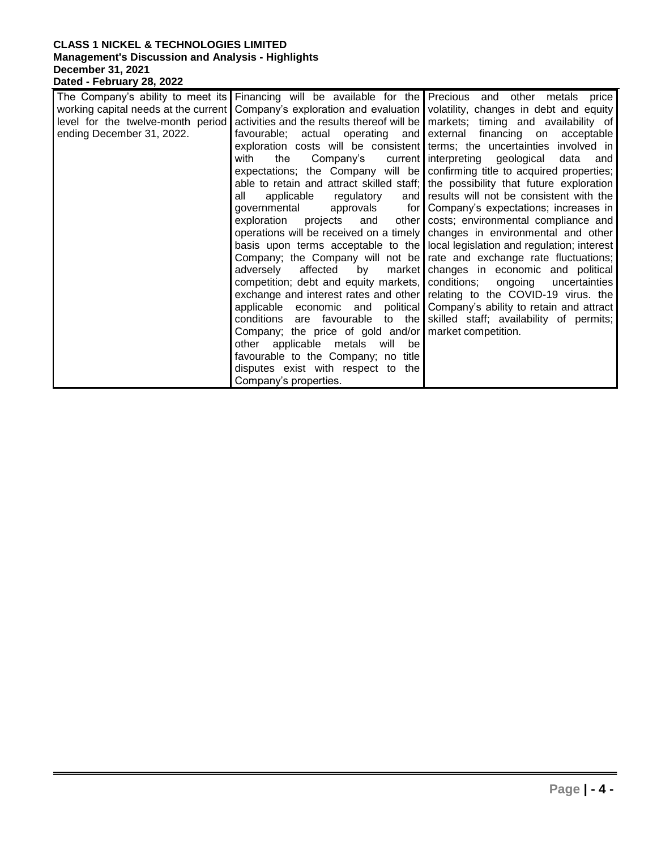|                                      |                                                           | The Company's ability to meet its Financing will be available for the Precious and other metals price |
|--------------------------------------|-----------------------------------------------------------|-------------------------------------------------------------------------------------------------------|
| working capital needs at the current |                                                           | Company's exploration and evaluation volatility, changes in debt and equity                           |
| level for the twelve-month period    |                                                           | activities and the results thereof will be   markets; timing and availability of                      |
| ending December 31, 2022.            | favourable; actual operating and external financing on    | acceptable                                                                                            |
|                                      |                                                           | exploration costs will be consistent terms; the uncertainties involved in                             |
|                                      | with<br>the                                               | Company's current interpreting geological<br>data<br>and                                              |
|                                      |                                                           | expectations; the Company will be confirming title to acquired properties;                            |
|                                      |                                                           | able to retain and attract skilled staff; the possibility that future exploration                     |
|                                      | all<br>applicable<br>regulatory                           | and results will not be consistent with the                                                           |
|                                      | governmental                                              | approvals for Company's expectations; increases in                                                    |
|                                      |                                                           | exploration projects and other costs; environmental compliance and                                    |
|                                      |                                                           | operations will be received on a timely changes in environmental and other                            |
|                                      |                                                           | basis upon terms acceptable to the local legislation and regulation; interest                         |
|                                      |                                                           | Company; the Company will not be rate and exchange rate fluctuations;                                 |
|                                      | by<br>adverselv<br>affected                               | market changes in economic and political                                                              |
|                                      | competition; debt and equity markets, conditions; ongoing | uncertainties                                                                                         |
|                                      |                                                           | exchange and interest rates and other relating to the COVID-19 virus. the                             |
|                                      |                                                           | applicable economic and political Company's ability to retain and attract                             |
|                                      |                                                           | conditions are favourable to the skilled staff; availability of permits;                              |
|                                      | Company; the price of gold and/or market competition.     |                                                                                                       |
|                                      | other applicable metals will be                           |                                                                                                       |
|                                      | favourable to the Company; no title                       |                                                                                                       |
|                                      | disputes exist with respect to the                        |                                                                                                       |
|                                      | Company's properties.                                     |                                                                                                       |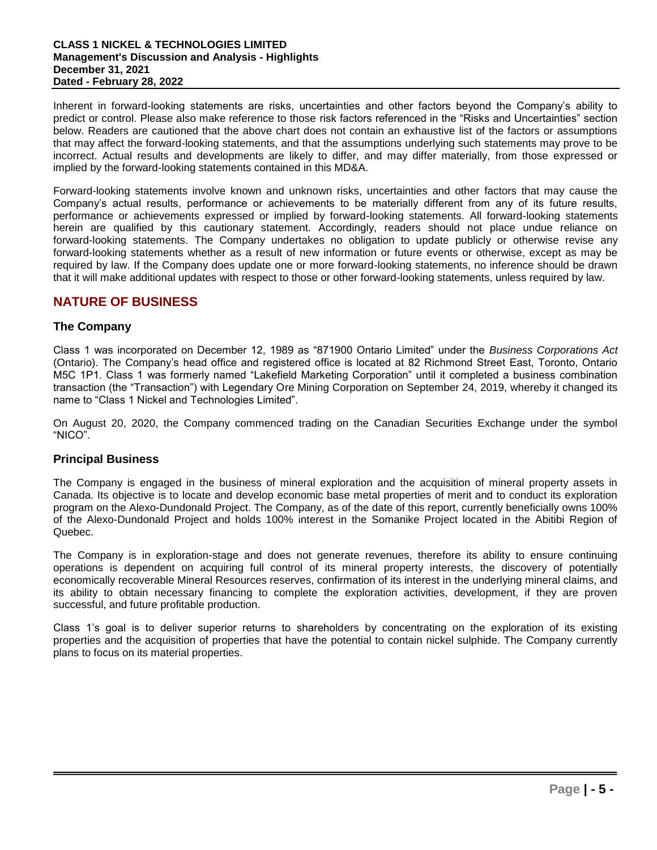Inherent in forward-looking statements are risks, uncertainties and other factors beyond the Company's ability to predict or control. Please also make reference to those risk factors referenced in the "Risks and Uncertainties" section below. Readers are cautioned that the above chart does not contain an exhaustive list of the factors or assumptions that may affect the forward-looking statements, and that the assumptions underlying such statements may prove to be incorrect. Actual results and developments are likely to differ, and may differ materially, from those expressed or implied by the forward-looking statements contained in this MD&A.

Forward-looking statements involve known and unknown risks, uncertainties and other factors that may cause the Company's actual results, performance or achievements to be materially different from any of its future results, performance or achievements expressed or implied by forward-looking statements. All forward-looking statements herein are qualified by this cautionary statement. Accordingly, readers should not place undue reliance on forward-looking statements. The Company undertakes no obligation to update publicly or otherwise revise any forward-looking statements whether as a result of new information or future events or otherwise, except as may be required by law. If the Company does update one or more forward-looking statements, no inference should be drawn that it will make additional updates with respect to those or other forward-looking statements, unless required by law.

## **NATURE OF BUSINESS**

## **The Company**

Class 1 was incorporated on December 12, 1989 as "871900 Ontario Limited" under the *Business Corporations Act*  (Ontario). The Company's head office and registered office is located at 82 Richmond Street East, Toronto, Ontario M5C 1P1. Class 1 was formerly named "Lakefield Marketing Corporation" until it completed a business combination transaction (the "Transaction") with Legendary Ore Mining Corporation on September 24, 2019, whereby it changed its name to "Class 1 Nickel and Technologies Limited".

On August 20, 2020, the Company commenced trading on the Canadian Securities Exchange under the symbol "NICO".

## **Principal Business**

The Company is engaged in the business of mineral exploration and the acquisition of mineral property assets in Canada. Its objective is to locate and develop economic base metal properties of merit and to conduct its exploration program on the Alexo-Dundonald Project. The Company, as of the date of this report, currently beneficially owns 100% of the Alexo-Dundonald Project and holds 100% interest in the Somanike Project located in the Abitibi Region of Quebec.

The Company is in exploration-stage and does not generate revenues, therefore its ability to ensure continuing operations is dependent on acquiring full control of its mineral property interests, the discovery of potentially economically recoverable Mineral Resources reserves, confirmation of its interest in the underlying mineral claims, and its ability to obtain necessary financing to complete the exploration activities, development, if they are proven successful, and future profitable production.

Class 1's goal is to deliver superior returns to shareholders by concentrating on the exploration of its existing properties and the acquisition of properties that have the potential to contain nickel sulphide. The Company currently plans to focus on its material properties.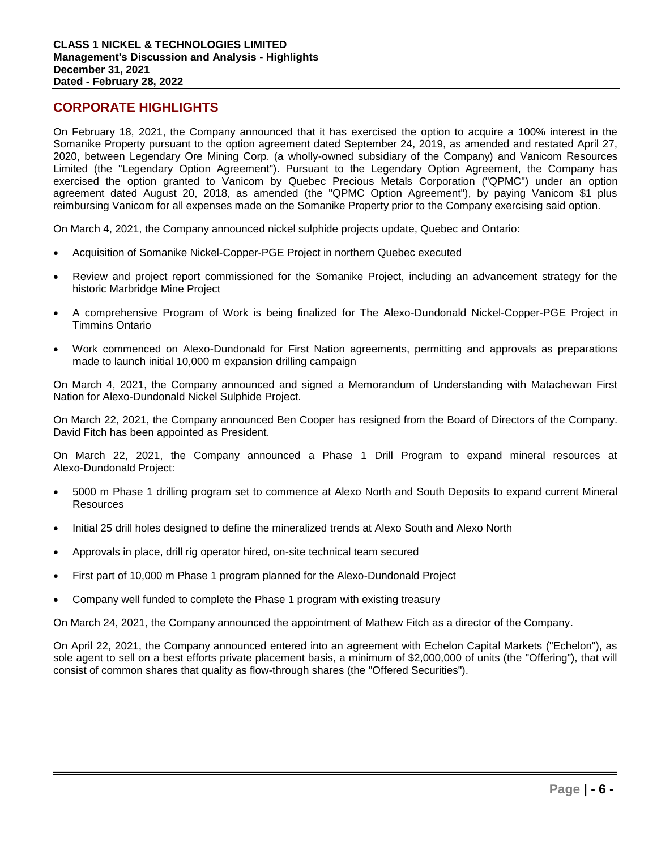## **CORPORATE HIGHLIGHTS**

On February 18, 2021, the Company announced that it has exercised the option to acquire a 100% interest in the Somanike Property pursuant to the option agreement dated September 24, 2019, as amended and restated April 27, 2020, between Legendary Ore Mining Corp. (a wholly-owned subsidiary of the Company) and Vanicom Resources Limited (the "Legendary Option Agreement"). Pursuant to the Legendary Option Agreement, the Company has exercised the option granted to Vanicom by Quebec Precious Metals Corporation ("QPMC") under an option agreement dated August 20, 2018, as amended (the "QPMC Option Agreement"), by paying Vanicom \$1 plus reimbursing Vanicom for all expenses made on the Somanike Property prior to the Company exercising said option.

On March 4, 2021, the Company announced nickel sulphide projects update, Quebec and Ontario:

- Acquisition of Somanike Nickel-Copper-PGE Project in northern Quebec executed
- Review and project report commissioned for the Somanike Project, including an advancement strategy for the historic Marbridge Mine Project
- A comprehensive Program of Work is being finalized for The Alexo-Dundonald Nickel-Copper-PGE Project in Timmins Ontario
- Work commenced on Alexo-Dundonald for First Nation agreements, permitting and approvals as preparations made to launch initial 10,000 m expansion drilling campaign

On March 4, 2021, the Company announced and signed a Memorandum of Understanding with Matachewan First Nation for Alexo-Dundonald Nickel Sulphide Project.

On March 22, 2021, the Company announced Ben Cooper has resigned from the Board of Directors of the Company. David Fitch has been appointed as President.

On March 22, 2021, the Company announced a Phase 1 Drill Program to expand mineral resources at Alexo-Dundonald Project:

- 5000 m Phase 1 drilling program set to commence at Alexo North and South Deposits to expand current Mineral **Resources**
- Initial 25 drill holes designed to define the mineralized trends at Alexo South and Alexo North
- Approvals in place, drill rig operator hired, on-site technical team secured
- First part of 10,000 m Phase 1 program planned for the Alexo-Dundonald Project
- Company well funded to complete the Phase 1 program with existing treasury

On March 24, 2021, the Company announced the appointment of Mathew Fitch as a director of the Company.

On April 22, 2021, the Company announced entered into an agreement with Echelon Capital Markets ("Echelon"), as sole agent to sell on a best efforts private placement basis, a minimum of \$2,000,000 of units (the "Offering"), that will consist of common shares that quality as flow-through shares (the "Offered Securities").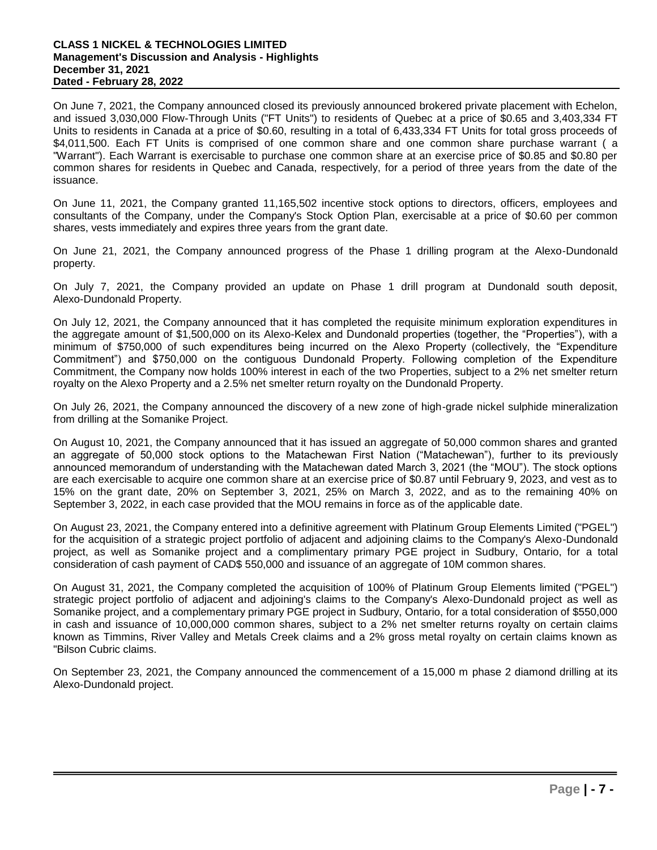On June 7, 2021, the Company announced closed its previously announced brokered private placement with Echelon, and issued 3,030,000 Flow-Through Units ("FT Units") to residents of Quebec at a price of \$0.65 and 3,403,334 FT Units to residents in Canada at a price of \$0.60, resulting in a total of 6,433,334 FT Units for total gross proceeds of \$4,011,500. Each FT Units is comprised of one common share and one common share purchase warrant ( a "Warrant"). Each Warrant is exercisable to purchase one common share at an exercise price of \$0.85 and \$0.80 per common shares for residents in Quebec and Canada, respectively, for a period of three years from the date of the issuance.

On June 11, 2021, the Company granted 11,165,502 incentive stock options to directors, officers, employees and consultants of the Company, under the Company's Stock Option Plan, exercisable at a price of \$0.60 per common shares, vests immediately and expires three years from the grant date.

On June 21, 2021, the Company announced progress of the Phase 1 drilling program at the Alexo-Dundonald property.

On July 7, 2021, the Company provided an update on Phase 1 drill program at Dundonald south deposit, Alexo-Dundonald Property.

On July 12, 2021, the Company announced that it has completed the requisite minimum exploration expenditures in the aggregate amount of \$1,500,000 on its Alexo-Kelex and Dundonald properties (together, the "Properties"), with a minimum of \$750,000 of such expenditures being incurred on the Alexo Property (collectively, the "Expenditure Commitment") and \$750,000 on the contiguous Dundonald Property. Following completion of the Expenditure Commitment, the Company now holds 100% interest in each of the two Properties, subject to a 2% net smelter return royalty on the Alexo Property and a 2.5% net smelter return royalty on the Dundonald Property.

On July 26, 2021, the Company announced the discovery of a new zone of high-grade nickel sulphide mineralization from drilling at the Somanike Project.

On August 10, 2021, the Company announced that it has issued an aggregate of 50,000 common shares and granted an aggregate of 50,000 stock options to the Matachewan First Nation ("Matachewan"), further to its previously announced memorandum of understanding with the Matachewan dated March 3, 2021 (the "MOU"). The stock options are each exercisable to acquire one common share at an exercise price of \$0.87 until February 9, 2023, and vest as to 15% on the grant date, 20% on September 3, 2021, 25% on March 3, 2022, and as to the remaining 40% on September 3, 2022, in each case provided that the MOU remains in force as of the applicable date.

On August 23, 2021, the Company entered into a definitive agreement with Platinum Group Elements Limited ("PGEL") for the acquisition of a strategic project portfolio of adjacent and adjoining claims to the Company's Alexo-Dundonald project, as well as Somanike project and a complimentary primary PGE project in Sudbury, Ontario, for a total consideration of cash payment of CAD\$ 550,000 and issuance of an aggregate of 10M common shares.

On August 31, 2021, the Company completed the acquisition of 100% of Platinum Group Elements limited ("PGEL") strategic project portfolio of adjacent and adjoining's claims to the Company's Alexo-Dundonald project as well as Somanike project, and a complementary primary PGE project in Sudbury, Ontario, for a total consideration of \$550,000 in cash and issuance of 10,000,000 common shares, subject to a 2% net smelter returns royalty on certain claims known as Timmins, River Valley and Metals Creek claims and a 2% gross metal royalty on certain claims known as "Bilson Cubric claims.

On September 23, 2021, the Company announced the commencement of a 15,000 m phase 2 diamond drilling at its Alexo-Dundonald project.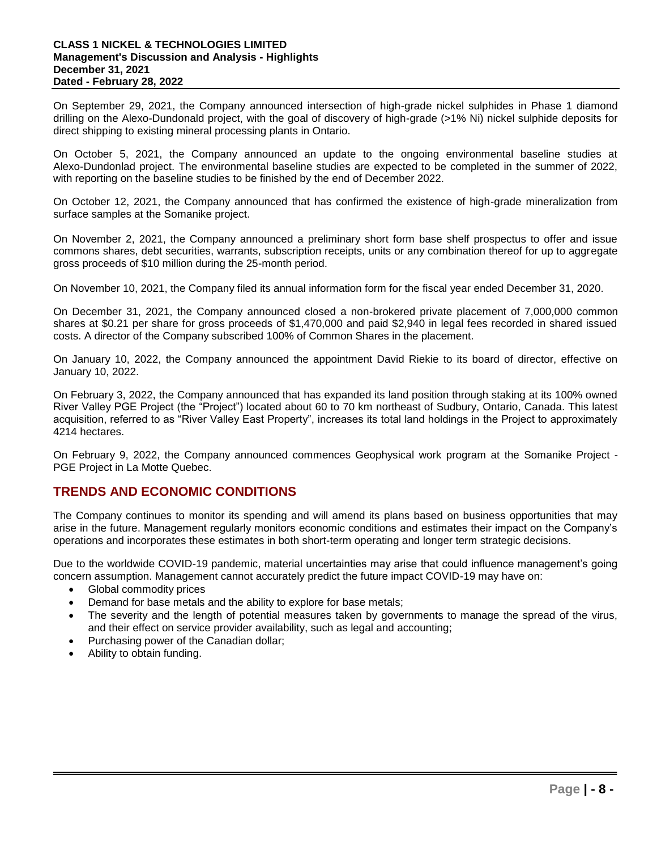On September 29, 2021, the Company announced intersection of high-grade nickel sulphides in Phase 1 diamond drilling on the Alexo-Dundonald project, with the goal of discovery of high-grade (>1% Ni) nickel sulphide deposits for direct shipping to existing mineral processing plants in Ontario.

On October 5, 2021, the Company announced an update to the ongoing environmental baseline studies at Alexo-Dundonlad project. The environmental baseline studies are expected to be completed in the summer of 2022, with reporting on the baseline studies to be finished by the end of December 2022.

On October 12, 2021, the Company announced that has confirmed the existence of high-grade mineralization from surface samples at the Somanike project.

On November 2, 2021, the Company announced a preliminary short form base shelf prospectus to offer and issue commons shares, debt securities, warrants, subscription receipts, units or any combination thereof for up to aggregate gross proceeds of \$10 million during the 25-month period.

On November 10, 2021, the Company filed its annual information form for the fiscal year ended December 31, 2020.

On December 31, 2021, the Company announced closed a non-brokered private placement of 7,000,000 common shares at \$0.21 per share for gross proceeds of \$1,470,000 and paid \$2,940 in legal fees recorded in shared issued costs. A director of the Company subscribed 100% of Common Shares in the placement.

On January 10, 2022, the Company announced the appointment David Riekie to its board of director, effective on January 10, 2022.

On February 3, 2022, the Company announced that has expanded its land position through staking at its 100% owned River Valley PGE Project (the "Project") located about 60 to 70 km northeast of Sudbury, Ontario, Canada. This latest acquisition, referred to as "River Valley East Property", increases its total land holdings in the Project to approximately 4214 hectares.

On February 9, 2022, the Company announced commences Geophysical work program at the Somanike Project - PGE Project in La Motte Quebec.

# **TRENDS AND ECONOMIC CONDITIONS**

The Company continues to monitor its spending and will amend its plans based on business opportunities that may arise in the future. Management regularly monitors economic conditions and estimates their impact on the Company's operations and incorporates these estimates in both short-term operating and longer term strategic decisions.

Due to the worldwide COVID-19 pandemic, material uncertainties may arise that could influence management's going concern assumption. Management cannot accurately predict the future impact COVID-19 may have on:

- Global commodity prices
- Demand for base metals and the ability to explore for base metals;
- The severity and the length of potential measures taken by governments to manage the spread of the virus, and their effect on service provider availability, such as legal and accounting;
- Purchasing power of the Canadian dollar;
- Ability to obtain funding.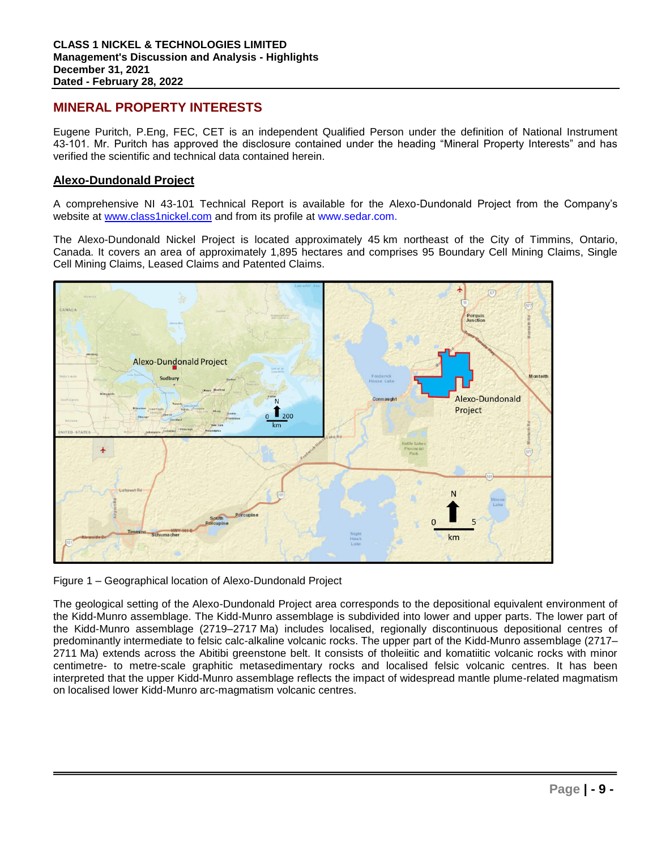## **MINERAL PROPERTY INTERESTS**

Eugene Puritch, P.Eng, FEC, CET is an independent Qualified Person under the definition of National Instrument 43-101. Mr. Puritch has approved the disclosure contained under the heading "Mineral Property Interests" and has verified the scientific and technical data contained herein.

## **Alexo-Dundonald Project**

A comprehensive NI 43-101 Technical Report is available for the Alexo-Dundonald Project from the Company's website at www.class1nickel.com and from its profile at www.sedar.com.

The Alexo-Dundonald Nickel Project is located approximately 45 km northeast of the City of Timmins, Ontario, Canada. It covers an area of approximately 1,895 hectares and comprises 95 Boundary Cell Mining Claims, Single Cell Mining Claims, Leased Claims and Patented Claims.



Figure 1 – Geographical location of Alexo-Dundonald Project

The geological setting of the Alexo-Dundonald Project area corresponds to the depositional equivalent environment of the Kidd-Munro assemblage. The Kidd-Munro assemblage is subdivided into lower and upper parts. The lower part of the Kidd-Munro assemblage (2719–2717 Ma) includes localised, regionally discontinuous depositional centres of predominantly intermediate to felsic calc-alkaline volcanic rocks. The upper part of the Kidd-Munro assemblage (2717– 2711 Ma) extends across the Abitibi greenstone belt. It consists of tholeiitic and komatiitic volcanic rocks with minor centimetre- to metre-scale graphitic metasedimentary rocks and localised felsic volcanic centres. It has been interpreted that the upper Kidd-Munro assemblage reflects the impact of widespread mantle plume-related magmatism on localised lower Kidd-Munro arc-magmatism volcanic centres.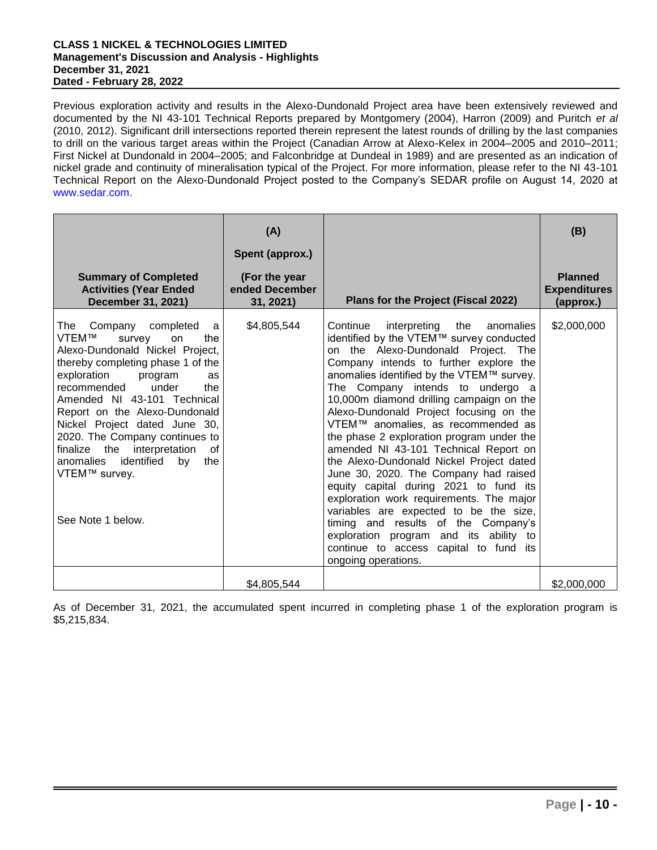Previous exploration activity and results in the Alexo-Dundonald Project area have been extensively reviewed and documented by the NI 43-101 Technical Reports prepared by Montgomery (2004), Harron (2009) and Puritch *et al* (2010, 2012). Significant drill intersections reported therein represent the latest rounds of drilling by the last companies to drill on the various target areas within the Project (Canadian Arrow at Alexo-Kelex in 2004–2005 and 2010–2011; First Nickel at Dundonald in 2004–2005; and Falconbridge at Dundeal in 1989) and are presented as an indication of nickel grade and continuity of mineralisation typical of the Project. For more information, please refer to the NI 43-101 Technical Report on the Alexo-Dundonald Project posted to the Company's SEDAR profile on August 14, 2020 at www.sedar.com.

|                                                                                                                                                                                                                                                                                                                                                                                                                                                                      | (A)<br>Spent (approx.)                       |                                                                                                                                                                                                                                                                                                                                                                                                                                                                                                                                                                                                                                                                                                                                                                                                                                                      | (B)                                                |
|----------------------------------------------------------------------------------------------------------------------------------------------------------------------------------------------------------------------------------------------------------------------------------------------------------------------------------------------------------------------------------------------------------------------------------------------------------------------|----------------------------------------------|------------------------------------------------------------------------------------------------------------------------------------------------------------------------------------------------------------------------------------------------------------------------------------------------------------------------------------------------------------------------------------------------------------------------------------------------------------------------------------------------------------------------------------------------------------------------------------------------------------------------------------------------------------------------------------------------------------------------------------------------------------------------------------------------------------------------------------------------------|----------------------------------------------------|
| <b>Summary of Completed</b><br><b>Activities (Year Ended</b><br>December 31, 2021)                                                                                                                                                                                                                                                                                                                                                                                   | (For the year<br>ended December<br>31, 2021) | Plans for the Project (Fiscal 2022)                                                                                                                                                                                                                                                                                                                                                                                                                                                                                                                                                                                                                                                                                                                                                                                                                  | <b>Planned</b><br><b>Expenditures</b><br>(approx.) |
| Company<br>completed<br><b>The</b><br>a<br>VTEM™<br>the<br>survey<br>on<br>Alexo-Dundonald Nickel Project,<br>thereby completing phase 1 of the<br>exploration<br>program<br>as<br>recommended<br>under<br>the<br>Amended NI 43-101 Technical<br>Report on the Alexo-Dundonald<br>Nickel Project dated June 30,<br>2020. The Company continues to<br>finalize the interpretation<br>0f<br>identified<br>anomalies<br>by<br>the<br>VTEM™ survey.<br>See Note 1 below. | \$4,805,544                                  | interpreting<br>Continue<br>the<br>anomalies<br>identified by the VTEM™ survey conducted<br>on the Alexo-Dundonald Project. The<br>Company intends to further explore the<br>anomalies identified by the VTEM™ survey.<br>The Company intends to undergo a<br>10,000m diamond drilling campaign on the<br>Alexo-Dundonald Project focusing on the<br>VTEM™ anomalies, as recommended as<br>the phase 2 exploration program under the<br>amended NI 43-101 Technical Report on<br>the Alexo-Dundonald Nickel Project dated<br>June 30, 2020. The Company had raised<br>equity capital during 2021 to fund its<br>exploration work requirements. The major<br>variables are expected to be the size,<br>timing and results of the Company's<br>exploration program and its ability to<br>continue to access capital to fund its<br>ongoing operations. | \$2,000,000                                        |
|                                                                                                                                                                                                                                                                                                                                                                                                                                                                      | \$4,805,544                                  |                                                                                                                                                                                                                                                                                                                                                                                                                                                                                                                                                                                                                                                                                                                                                                                                                                                      | \$2,000,000                                        |

As of December 31, 2021, the accumulated spent incurred in completing phase 1 of the exploration program is \$5,215,834.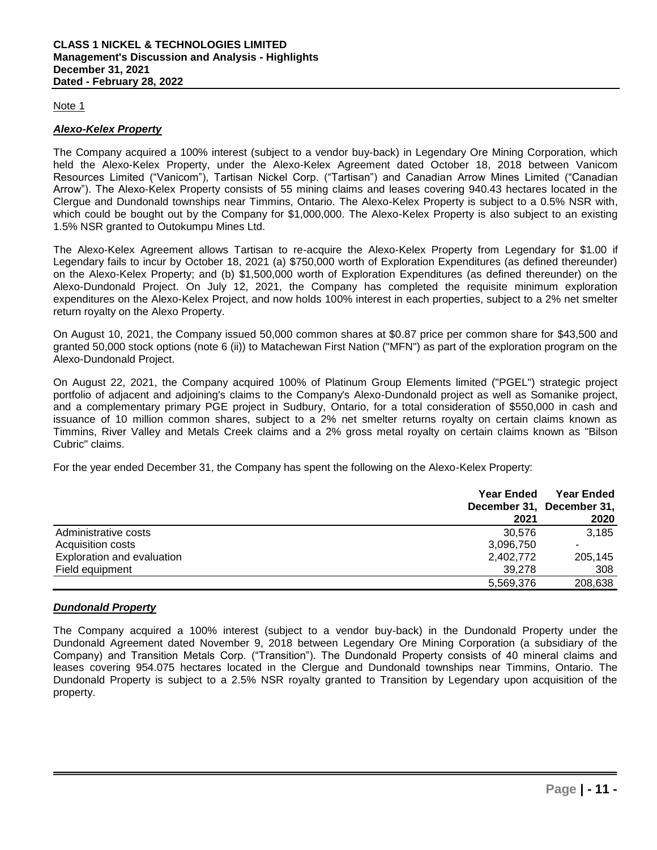## Note 1

## *Alexo-Kelex Property*

The Company acquired a 100% interest (subject to a vendor buy-back) in Legendary Ore Mining Corporation, which held the Alexo-Kelex Property, under the Alexo-Kelex Agreement dated October 18, 2018 between Vanicom Resources Limited ("Vanicom"), Tartisan Nickel Corp. ("Tartisan") and Canadian Arrow Mines Limited ("Canadian Arrow"). The Alexo-Kelex Property consists of 55 mining claims and leases covering 940.43 hectares located in the Clergue and Dundonald townships near Timmins, Ontario. The Alexo-Kelex Property is subject to a 0.5% NSR with, which could be bought out by the Company for \$1,000,000. The Alexo-Kelex Property is also subject to an existing 1.5% NSR granted to Outokumpu Mines Ltd.

The Alexo-Kelex Agreement allows Tartisan to re-acquire the Alexo-Kelex Property from Legendary for \$1.00 if Legendary fails to incur by October 18, 2021 (a) \$750,000 worth of Exploration Expenditures (as defined thereunder) on the Alexo-Kelex Property; and (b) \$1,500,000 worth of Exploration Expenditures (as defined thereunder) on the Alexo-Dundonald Project. On July 12, 2021, the Company has completed the requisite minimum exploration expenditures on the Alexo-Kelex Project, and now holds 100% interest in each properties, subject to a 2% net smelter return royalty on the Alexo Property.

On August 10, 2021, the Company issued 50,000 common shares at \$0.87 price per common share for \$43,500 and granted 50,000 stock options (note 6 (ii)) to Matachewan First Nation ("MFN") as part of the exploration program on the Alexo-Dundonald Project.

On August 22, 2021, the Company acquired 100% of Platinum Group Elements limited ("PGEL") strategic project portfolio of adjacent and adjoining's claims to the Company's Alexo-Dundonald project as well as Somanike project, and a complementary primary PGE project in Sudbury, Ontario, for a total consideration of \$550,000 in cash and issuance of 10 million common shares, subject to a 2% net smelter returns royalty on certain claims known as Timmins, River Valley and Metals Creek claims and a 2% gross metal royalty on certain claims known as "Bilson Cubric" claims.

For the year ended December 31, the Company has spent the following on the Alexo-Kelex Property:

|                            | <b>Year Ended</b> | <b>Year Ended</b><br>December 31, December 31, |
|----------------------------|-------------------|------------------------------------------------|
|                            | 2021              | 2020                                           |
| Administrative costs       | 30.576            | 3.185                                          |
| Acquisition costs          | 3,096,750         |                                                |
| Exploration and evaluation | 2,402,772         | 205,145                                        |
| Field equipment            | 39.278            | 308                                            |
|                            | 5,569,376         | 208,638                                        |

## *Dundonald Property*

The Company acquired a 100% interest (subject to a vendor buy-back) in the Dundonald Property under the Dundonald Agreement dated November 9, 2018 between Legendary Ore Mining Corporation (a subsidiary of the Company) and Transition Metals Corp. ("Transition"). The Dundonald Property consists of 40 mineral claims and leases covering 954.075 hectares located in the Clergue and Dundonald townships near Timmins, Ontario. The Dundonald Property is subject to a 2.5% NSR royalty granted to Transition by Legendary upon acquisition of the property.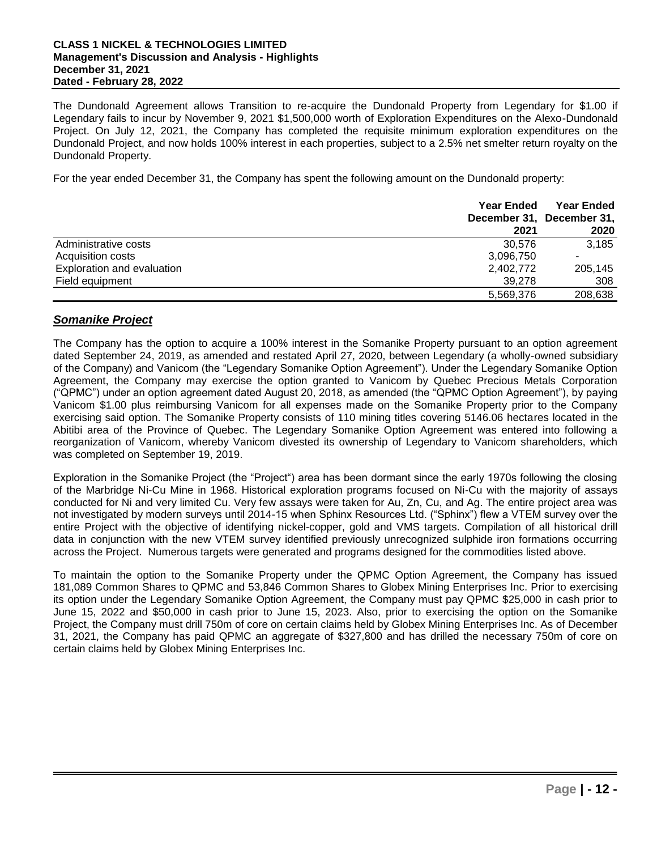The Dundonald Agreement allows Transition to re-acquire the Dundonald Property from Legendary for \$1.00 if Legendary fails to incur by November 9, 2021 \$1,500,000 worth of Exploration Expenditures on the Alexo-Dundonald Project. On July 12, 2021, the Company has completed the requisite minimum exploration expenditures on the Dundonald Project, and now holds 100% interest in each properties, subject to a 2.5% net smelter return royalty on the Dundonald Property.

For the year ended December 31, the Company has spent the following amount on the Dundonald property:

|                            | <b>Year Ended</b> | <b>Year Ended</b>         |  |
|----------------------------|-------------------|---------------------------|--|
|                            |                   | December 31, December 31, |  |
|                            | 2021              | 2020                      |  |
| Administrative costs       | 30.576            | 3.185                     |  |
| Acquisition costs          | 3,096,750         |                           |  |
| Exploration and evaluation | 2,402,772         | 205,145                   |  |
| Field equipment            | 39.278            | 308                       |  |
|                            | 5,569,376         | 208,638                   |  |

## *Somanike Project*

The Company has the option to acquire a 100% interest in the Somanike Property pursuant to an option agreement dated September 24, 2019, as amended and restated April 27, 2020, between Legendary (a wholly-owned subsidiary of the Company) and Vanicom (the "Legendary Somanike Option Agreement"). Under the Legendary Somanike Option Agreement, the Company may exercise the option granted to Vanicom by Quebec Precious Metals Corporation ("QPMC") under an option agreement dated August 20, 2018, as amended (the "QPMC Option Agreement"), by paying Vanicom \$1.00 plus reimbursing Vanicom for all expenses made on the Somanike Property prior to the Company exercising said option. The Somanike Property consists of 110 mining titles covering 5146.06 hectares located in the Abitibi area of the Province of Quebec. The Legendary Somanike Option Agreement was entered into following a reorganization of Vanicom, whereby Vanicom divested its ownership of Legendary to Vanicom shareholders, which was completed on September 19, 2019.

Exploration in the Somanike Project (the "Project") area has been dormant since the early 1970s following the closing of the Marbridge Ni-Cu Mine in 1968. Historical exploration programs focused on Ni-Cu with the majority of assays conducted for Ni and very limited Cu. Very few assays were taken for Au, Zn, Cu, and Ag. The entire project area was not investigated by modern surveys until 2014-15 when Sphinx Resources Ltd. ("Sphinx") flew a VTEM survey over the entire Project with the objective of identifying nickel-copper, gold and VMS targets. Compilation of all historical drill data in conjunction with the new VTEM survey identified previously unrecognized sulphide iron formations occurring across the Project. Numerous targets were generated and programs designed for the commodities listed above.

To maintain the option to the Somanike Property under the QPMC Option Agreement, the Company has issued 181,089 Common Shares to QPMC and 53,846 Common Shares to Globex Mining Enterprises Inc. Prior to exercising its option under the Legendary Somanike Option Agreement, the Company must pay QPMC \$25,000 in cash prior to June 15, 2022 and \$50,000 in cash prior to June 15, 2023. Also, prior to exercising the option on the Somanike Project, the Company must drill 750m of core on certain claims held by Globex Mining Enterprises Inc. As of December 31, 2021, the Company has paid QPMC an aggregate of \$327,800 and has drilled the necessary 750m of core on certain claims held by Globex Mining Enterprises Inc.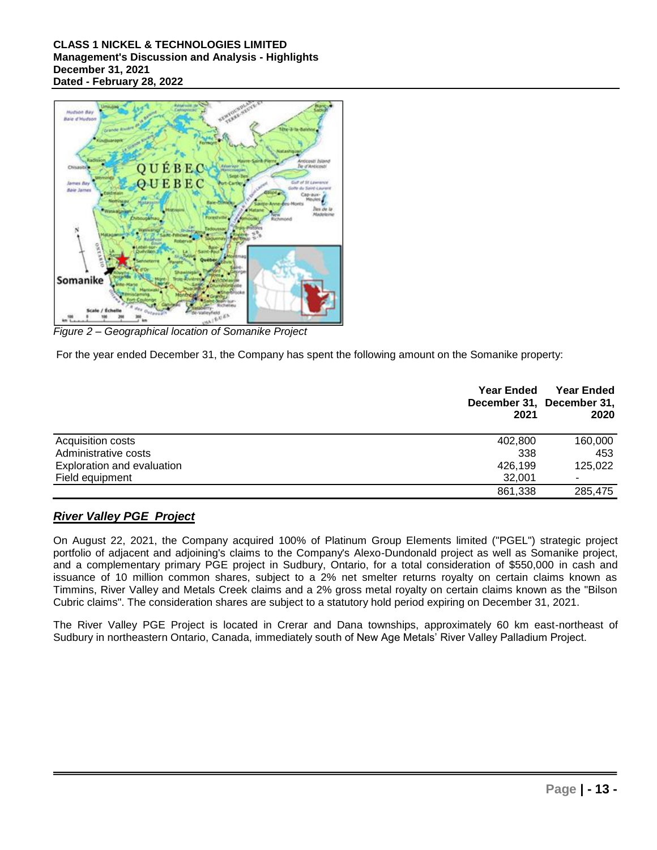

*Figure 2 – Geographical location of Somanike Project* 

For the year ended December 31, the Company has spent the following amount on the Somanike property:

|                                   | <b>Year Ended</b><br>2021 | <b>Year Ended</b><br>December 31, December 31,<br>2020 |
|-----------------------------------|---------------------------|--------------------------------------------------------|
| Acquisition costs                 | 402,800                   | 160,000                                                |
| Administrative costs              | 338                       | 453                                                    |
| <b>Exploration and evaluation</b> | 426.199                   | 125,022                                                |
| Field equipment                   | 32,001                    | ٠                                                      |
|                                   | 861,338                   | 285,475                                                |

## *River Valley PGE Project*

On August 22, 2021, the Company acquired 100% of Platinum Group Elements limited ("PGEL") strategic project portfolio of adjacent and adjoining's claims to the Company's Alexo-Dundonald project as well as Somanike project, and a complementary primary PGE project in Sudbury, Ontario, for a total consideration of \$550,000 in cash and issuance of 10 million common shares, subject to a 2% net smelter returns royalty on certain claims known as Timmins, River Valley and Metals Creek claims and a 2% gross metal royalty on certain claims known as the "Bilson Cubric claims". The consideration shares are subject to a statutory hold period expiring on December 31, 2021.

The River Valley PGE Project is located in Crerar and Dana townships, approximately 60 km east-northeast of Sudbury in northeastern Ontario, Canada, immediately south of New Age Metals' River Valley Palladium Project.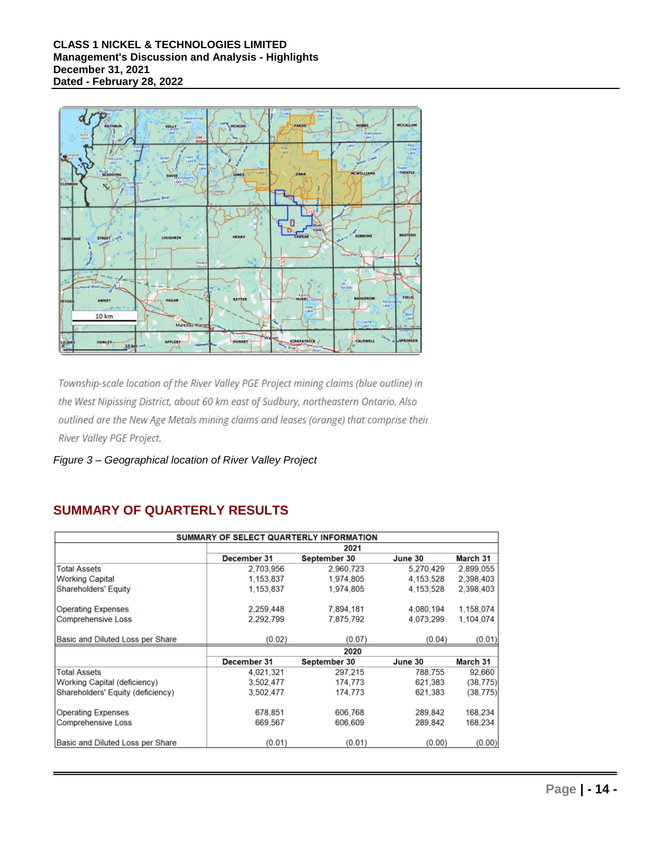

Township-scale location of the River Valley PGE Project mining claims (blue outline) in the West Nipissing District, about 60 km east of Sudbury, northeastern Ontario. Also outlined are the New Age Metals mining claims and leases (orange) that comprise their River Valley PGE Project.

*Figure 3 – Geographical location of River Valley Project* 

# **SUMMARY OF QUARTERLY RESULTS**

| SUMMARY OF SELECT QUARTERLY INFORMATION |             |              |           |           |
|-----------------------------------------|-------------|--------------|-----------|-----------|
|                                         | 2021        |              |           |           |
|                                         | December 31 | September 30 | June 30   | March 31  |
| <b>Total Assets</b>                     | 2,703,956   | 2,960,723    | 5,270,429 | 2,899,055 |
| <b>Working Capital</b>                  | 1,153,837   | 1,974,805    | 4,153,528 | 2,398,403 |
| <b>Shareholders' Equity</b>             | 1,153,837   | 1,974,805    | 4,153,528 | 2,398,403 |
| <b>Operating Expenses</b>               | 2,259,448   | 7,894,181    | 4,080,194 | 1,158,074 |
| <b>Comprehensive Loss</b>               | 2.292.799   | 7,875,792    | 4,073,299 | 1,104,074 |
| Basic and Diluted Loss per Share        | (0.02)      | (0.07)       | (0.04)    | (0.01)    |
|                                         | 2020        |              |           |           |
|                                         | December 31 | September 30 | June 30   | March 31  |
| <b>Total Assets</b>                     | 4,021,321   | 297.215      | 788,755   | 92,660    |
| Working Capital (deficiency)            | 3,502,477   | 174,773      | 621.383   | (38, 775) |
| Shareholders' Equity (deficiency)       | 3.502.477   | 174,773      | 621.383   | (38, 775) |
| <b>Operating Expenses</b>               | 678,851     | 606,768      | 289,842   | 168,234   |
| <b>Comprehensive Loss</b>               | 669,567     | 606,609      | 289,842   | 168,234   |
| Basic and Diluted Loss per Share        | (0.01)      | (0.01)       | (0.00)    | (0.00)    |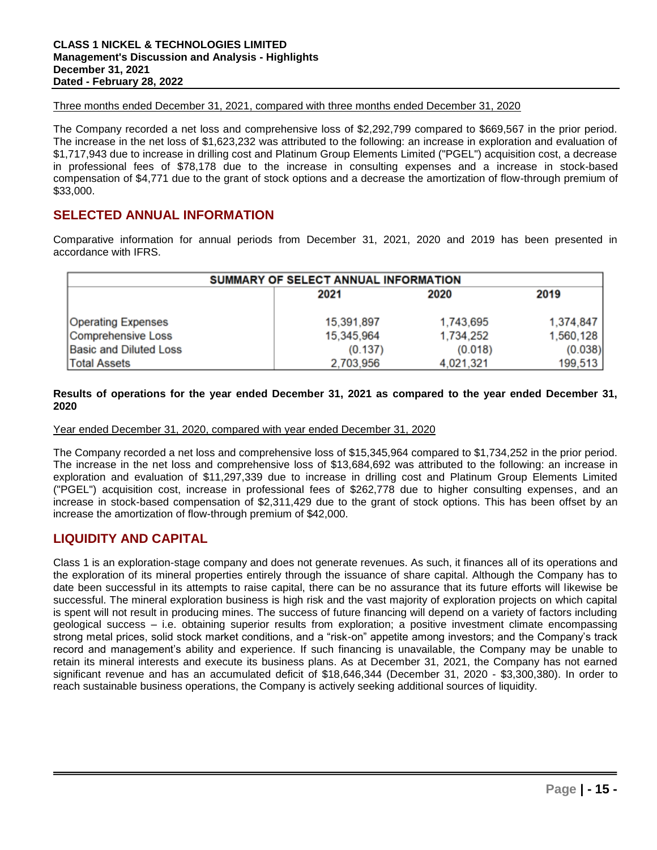Three months ended December 31, 2021, compared with three months ended December 31, 2020

The Company recorded a net loss and comprehensive loss of \$2,292,799 compared to \$669,567 in the prior period. The increase in the net loss of \$1,623,232 was attributed to the following: an increase in exploration and evaluation of \$1,717,943 due to increase in drilling cost and Platinum Group Elements Limited ("PGEL") acquisition cost, a decrease in professional fees of \$78,178 due to the increase in consulting expenses and a increase in stock-based compensation of \$4,771 due to the grant of stock options and a decrease the amortization of flow-through premium of \$33,000.

## **SELECTED ANNUAL INFORMATION**

Comparative information for annual periods from December 31, 2021, 2020 and 2019 has been presented in accordance with IFRS.

| SUMMARY OF SELECT ANNUAL INFORMATION |            |           |           |  |
|--------------------------------------|------------|-----------|-----------|--|
|                                      | 2021       | 2020      | 2019      |  |
| <b>Operating Expenses</b>            | 15,391,897 | 1,743,695 | 1,374,847 |  |
| Comprehensive Loss                   | 15,345,964 | 1,734,252 | 1,560,128 |  |
| <b>Basic and Diluted Loss</b>        | (0.137)    | (0.018)   | (0.038)   |  |
| <b>Total Assets</b>                  | 2,703,956  | 4.021.321 | 199,513   |  |

## **Results of operations for the year ended December 31, 2021 as compared to the year ended December 31, 2020**

## Year ended December 31, 2020, compared with year ended December 31, 2020

The Company recorded a net loss and comprehensive loss of \$15,345,964 compared to \$1,734,252 in the prior period. The increase in the net loss and comprehensive loss of \$13,684,692 was attributed to the following: an increase in exploration and evaluation of \$11,297,339 due to increase in drilling cost and Platinum Group Elements Limited ("PGEL") acquisition cost, increase in professional fees of \$262,778 due to higher consulting expenses, and an increase in stock-based compensation of \$2,311,429 due to the grant of stock options. This has been offset by an increase the amortization of flow-through premium of \$42,000.

## **LIQUIDITY AND CAPITAL**

Class 1 is an exploration-stage company and does not generate revenues. As such, it finances all of its operations and the exploration of its mineral properties entirely through the issuance of share capital. Although the Company has to date been successful in its attempts to raise capital, there can be no assurance that its future efforts will likewise be successful. The mineral exploration business is high risk and the vast majority of exploration projects on which capital is spent will not result in producing mines. The success of future financing will depend on a variety of factors including geological success – i.e. obtaining superior results from exploration; a positive investment climate encompassing strong metal prices, solid stock market conditions, and a "risk-on" appetite among investors; and the Company's track record and management's ability and experience. If such financing is unavailable, the Company may be unable to retain its mineral interests and execute its business plans. As at December 31, 2021, the Company has not earned significant revenue and has an accumulated deficit of \$18,646,344 (December 31, 2020 - \$3,300,380). In order to reach sustainable business operations, the Company is actively seeking additional sources of liquidity.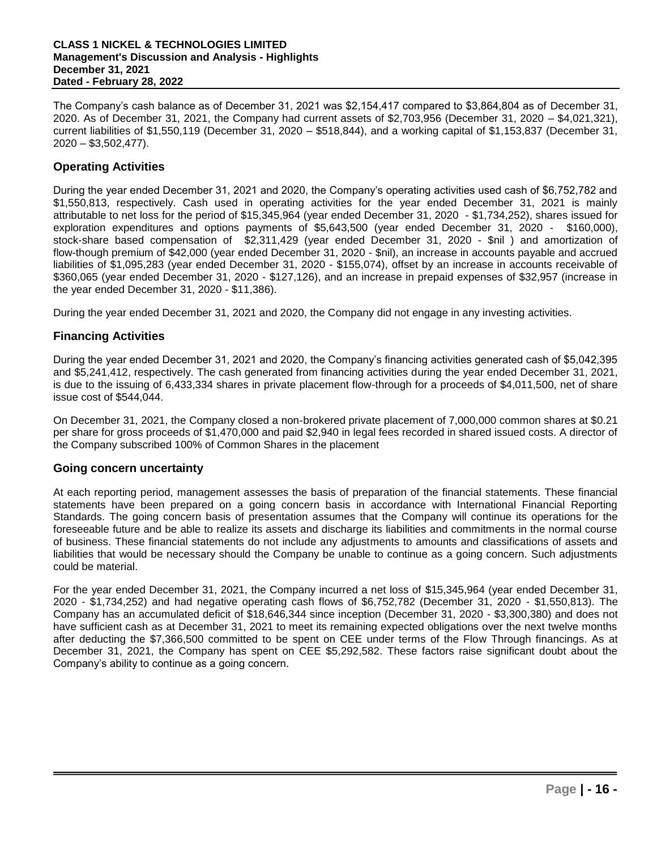The Company's cash balance as of December 31, 2021 was \$2,154,417 compared to \$3,864,804 as of December 31, 2020. As of December 31, 2021, the Company had current assets of \$2,703,956 (December 31, 2020 – \$4,021,321), current liabilities of \$1,550,119 (December 31, 2020 – \$518,844), and a working capital of \$1,153,837 (December 31,  $2020 - $3,502,477$ ).

## **Operating Activities**

During the year ended December 31, 2021 and 2020, the Company's operating activities used cash of \$6,752,782 and \$1,550,813, respectively. Cash used in operating activities for the year ended December 31, 2021 is mainly attributable to net loss for the period of \$15,345,964 (year ended December 31, 2020 - \$1,734,252), shares issued for exploration expenditures and options payments of \$5,643,500 (year ended December 31, 2020 - \$160,000), stock-share based compensation of \$2,311,429 (year ended December 31, 2020 - \$nil ) and amortization of flow-though premium of \$42,000 (year ended December 31, 2020 - \$nil), an increase in accounts payable and accrued liabilities of \$1,095,283 (year ended December 31, 2020 - \$155,074), offset by an increase in accounts receivable of \$360,065 (year ended December 31, 2020 - \$127,126), and an increase in prepaid expenses of \$32,957 (increase in the year ended December 31, 2020 - \$11,386).

During the year ended December 31, 2021 and 2020, the Company did not engage in any investing activities.

## **Financing Activities**

During the year ended December 31, 2021 and 2020, the Company's financing activities generated cash of \$5,042,395 and \$5,241,412, respectively. The cash generated from financing activities during the year ended December 31, 2021, is due to the issuing of 6,433,334 shares in private placement flow-through for a proceeds of \$4,011,500, net of share issue cost of \$544,044.

On December 31, 2021, the Company closed a non-brokered private placement of 7,000,000 common shares at \$0.21 per share for gross proceeds of \$1,470,000 and paid \$2,940 in legal fees recorded in shared issued costs. A director of the Company subscribed 100% of Common Shares in the placement

## **Going concern uncertainty**

At each reporting period, management assesses the basis of preparation of the financial statements. These financial statements have been prepared on a going concern basis in accordance with International Financial Reporting Standards. The going concern basis of presentation assumes that the Company will continue its operations for the foreseeable future and be able to realize its assets and discharge its liabilities and commitments in the normal course of business. These financial statements do not include any adjustments to amounts and classifications of assets and liabilities that would be necessary should the Company be unable to continue as a going concern. Such adjustments could be material.

For the year ended December 31, 2021, the Company incurred a net loss of \$15,345,964 (year ended December 31, 2020 - \$1,734,252) and had negative operating cash flows of \$6,752,782 (December 31, 2020 - \$1,550,813). The Company has an accumulated deficit of \$18,646,344 since inception (December 31, 2020 - \$3,300,380) and does not have sufficient cash as at December 31, 2021 to meet its remaining expected obligations over the next twelve months after deducting the \$7,366,500 committed to be spent on CEE under terms of the Flow Through financings. As at December 31, 2021, the Company has spent on CEE \$5,292,582. These factors raise significant doubt about the Company's ability to continue as a going concern.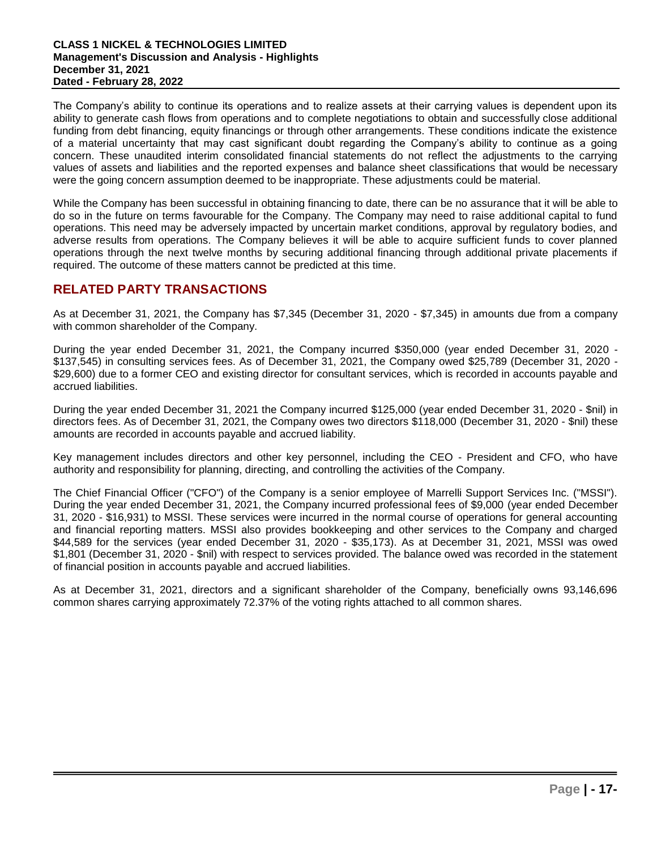The Company's ability to continue its operations and to realize assets at their carrying values is dependent upon its ability to generate cash flows from operations and to complete negotiations to obtain and successfully close additional funding from debt financing, equity financings or through other arrangements. These conditions indicate the existence of a material uncertainty that may cast significant doubt regarding the Company's ability to continue as a going concern. These unaudited interim consolidated financial statements do not reflect the adjustments to the carrying values of assets and liabilities and the reported expenses and balance sheet classifications that would be necessary were the going concern assumption deemed to be inappropriate. These adjustments could be material.

While the Company has been successful in obtaining financing to date, there can be no assurance that it will be able to do so in the future on terms favourable for the Company. The Company may need to raise additional capital to fund operations. This need may be adversely impacted by uncertain market conditions, approval by regulatory bodies, and adverse results from operations. The Company believes it will be able to acquire sufficient funds to cover planned operations through the next twelve months by securing additional financing through additional private placements if required. The outcome of these matters cannot be predicted at this time.

## **RELATED PARTY TRANSACTIONS**

As at December 31, 2021, the Company has \$7,345 (December 31, 2020 - \$7,345) in amounts due from a company with common shareholder of the Company.

During the year ended December 31, 2021, the Company incurred \$350,000 (year ended December 31, 2020 - \$137,545) in consulting services fees. As of December 31, 2021, the Company owed \$25,789 (December 31, 2020 - \$29,600) due to a former CEO and existing director for consultant services, which is recorded in accounts payable and accrued liabilities.

During the year ended December 31, 2021 the Company incurred \$125,000 (year ended December 31, 2020 - \$nil) in directors fees. As of December 31, 2021, the Company owes two directors \$118,000 (December 31, 2020 - \$nil) these amounts are recorded in accounts payable and accrued liability.

Key management includes directors and other key personnel, including the CEO - President and CFO, who have authority and responsibility for planning, directing, and controlling the activities of the Company.

The Chief Financial Officer ("CFO") of the Company is a senior employee of Marrelli Support Services Inc. ("MSSI"). During the year ended December 31, 2021, the Company incurred professional fees of \$9,000 (year ended December 31, 2020 - \$16,931) to MSSI. These services were incurred in the normal course of operations for general accounting and financial reporting matters. MSSI also provides bookkeeping and other services to the Company and charged \$44,589 for the services (year ended December 31, 2020 - \$35,173). As at December 31, 2021, MSSI was owed \$1,801 (December 31, 2020 - \$nil) with respect to services provided. The balance owed was recorded in the statement of financial position in accounts payable and accrued liabilities.

As at December 31, 2021, directors and a significant shareholder of the Company, beneficially owns 93,146,696 common shares carrying approximately 72.37% of the voting rights attached to all common shares.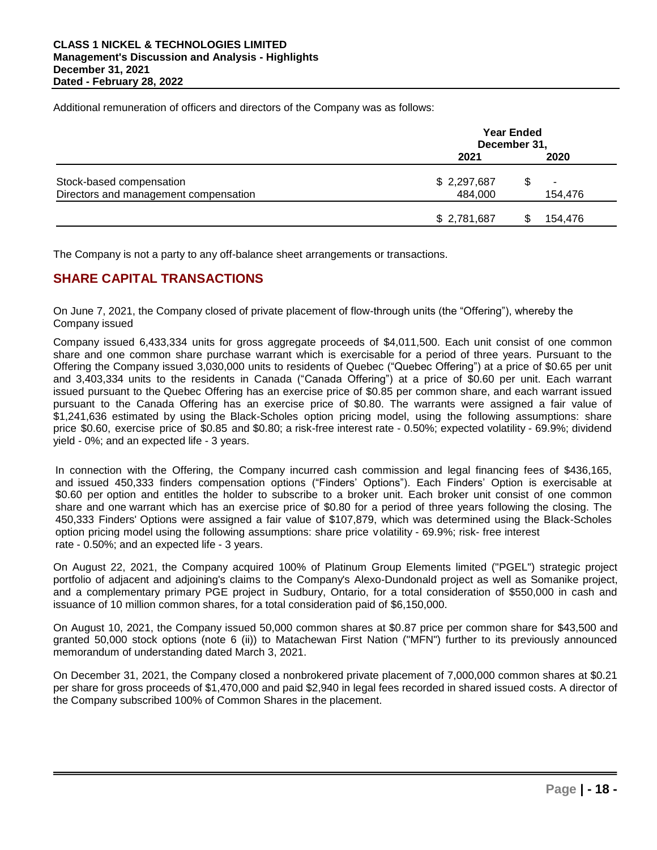Additional remuneration of officers and directors of the Company was as follows:

|                                       | <b>Year Ended</b><br>December 31, |                          |  |
|---------------------------------------|-----------------------------------|--------------------------|--|
|                                       | 2021                              | 2020                     |  |
| Stock-based compensation              | \$2,297,687                       | $\overline{\phantom{0}}$ |  |
| Directors and management compensation | 484,000                           | 154,476                  |  |
|                                       | \$2,781,687                       | 154,476                  |  |

The Company is not a party to any off-balance sheet arrangements or transactions.

# **SHARE CAPITAL TRANSACTIONS**

On June 7, 2021, the Company closed of private placement of flow-through units (the "Offering"), whereby the Company issued

Company issued 6,433,334 units for gross aggregate proceeds of \$4,011,500. Each unit consist of one common share and one common share purchase warrant which is exercisable for a period of three years. Pursuant to the Offering the Company issued 3,030,000 units to residents of Quebec ("Quebec Offering") at a price of \$0.65 per unit and 3,403,334 units to the residents in Canada ("Canada Offering") at a price of \$0.60 per unit. Each warrant issued pursuant to the Quebec Offering has an exercise price of \$0.85 per common share, and each warrant issued pursuant to the Canada Offering has an exercise price of \$0.80. The warrants were assigned a fair value of \$1,241,636 estimated by using the Black-Scholes option pricing model, using the following assumptions: share price \$0.60, exercise price of \$0.85 and \$0.80; a risk-free interest rate - 0.50%; expected volatility - 69.9%; dividend yield - 0%; and an expected life - 3 years.

In connection with the Offering, the Company incurred cash commission and legal financing fees of \$436,165, and issued 450,333 finders compensation options ("Finders' Options"). Each Finders' Option is exercisable at \$0.60 per option and entitles the holder to subscribe to a broker unit. Each broker unit consist of one common share and one warrant which has an exercise price of \$0.80 for a period of three years following the closing. The 450,333 Finders' Options were assigned a fair value of \$107,879, which was determined using the Black-Scholes option pricing model using the following assumptions: share price volatility - 69.9%; risk- free interest rate - 0.50%; and an expected life - 3 years.

On August 22, 2021, the Company acquired 100% of Platinum Group Elements limited ("PGEL") strategic project portfolio of adjacent and adjoining's claims to the Company's Alexo-Dundonald project as well as Somanike project, and a complementary primary PGE project in Sudbury, Ontario, for a total consideration of \$550,000 in cash and issuance of 10 million common shares, for a total consideration paid of \$6,150,000.

On August 10, 2021, the Company issued 50,000 common shares at \$0.87 price per common share for \$43,500 and granted 50,000 stock options (note 6 (ii)) to Matachewan First Nation ("MFN") further to its previously announced memorandum of understanding dated March 3, 2021.

On December 31, 2021, the Company closed a nonbrokered private placement of 7,000,000 common shares at \$0.21 per share for gross proceeds of \$1,470,000 and paid \$2,940 in legal fees recorded in shared issued costs. A director of the Company subscribed 100% of Common Shares in the placement.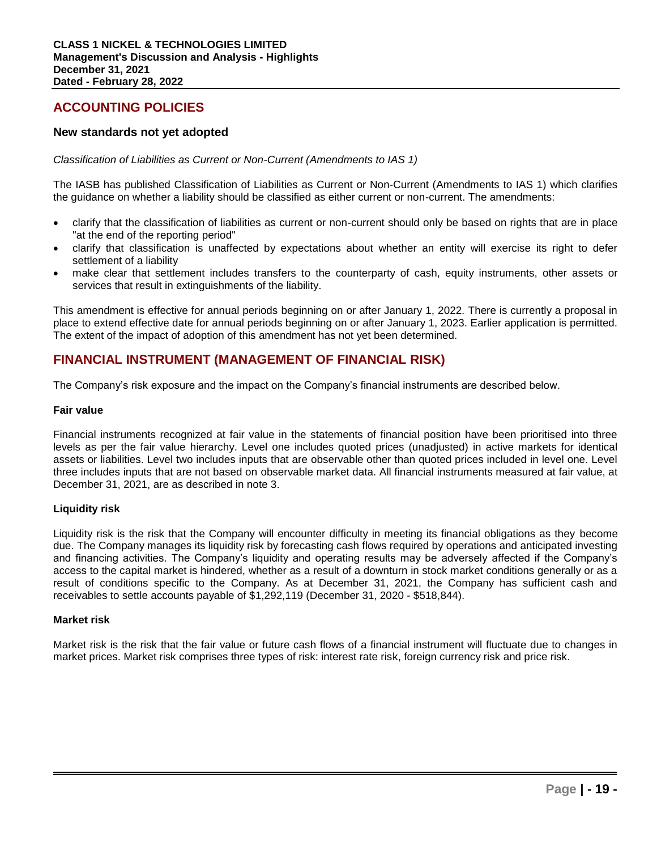## **ACCOUNTING POLICIES**

## **New standards not yet adopted**

*Classification of Liabilities as Current or Non-Current (Amendments to IAS 1)*

The IASB has published Classification of Liabilities as Current or Non-Current (Amendments to IAS 1) which clarifies the guidance on whether a liability should be classified as either current or non-current. The amendments:

- clarify that the classification of liabilities as current or non-current should only be based on rights that are in place "at the end of the reporting period"
- clarify that classification is unaffected by expectations about whether an entity will exercise its right to defer settlement of a liability
- make clear that settlement includes transfers to the counterparty of cash, equity instruments, other assets or services that result in extinguishments of the liability.

This amendment is effective for annual periods beginning on or after January 1, 2022. There is currently a proposal in place to extend effective date for annual periods beginning on or after January 1, 2023. Earlier application is permitted. The extent of the impact of adoption of this amendment has not yet been determined.

## **FINANCIAL INSTRUMENT (MANAGEMENT OF FINANCIAL RISK)**

The Company's risk exposure and the impact on the Company's financial instruments are described below.

#### **Fair value**

Financial instruments recognized at fair value in the statements of financial position have been prioritised into three levels as per the fair value hierarchy. Level one includes quoted prices (unadjusted) in active markets for identical assets or liabilities. Level two includes inputs that are observable other than quoted prices included in level one. Level three includes inputs that are not based on observable market data. All financial instruments measured at fair value, at December 31, 2021, are as described in note 3.

## **Liquidity risk**

Liquidity risk is the risk that the Company will encounter difficulty in meeting its financial obligations as they become due. The Company manages its liquidity risk by forecasting cash flows required by operations and anticipated investing and financing activities. The Company's liquidity and operating results may be adversely affected if the Company's access to the capital market is hindered, whether as a result of a downturn in stock market conditions generally or as a result of conditions specific to the Company. As at December 31, 2021, the Company has sufficient cash and receivables to settle accounts payable of \$1,292,119 (December 31, 2020 - \$518,844).

## **Market risk**

Market risk is the risk that the fair value or future cash flows of a financial instrument will fluctuate due to changes in market prices. Market risk comprises three types of risk: interest rate risk, foreign currency risk and price risk.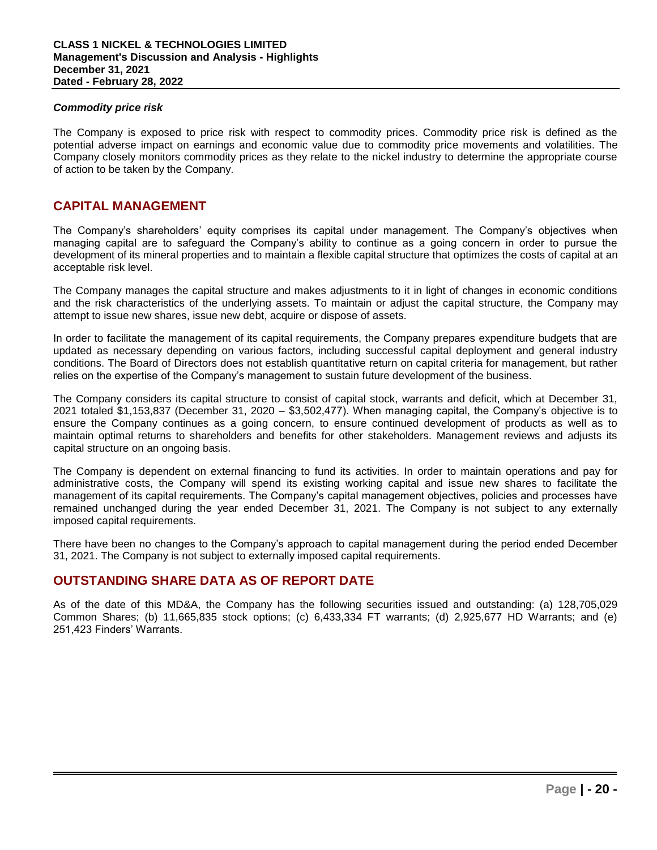## *Commodity price risk*

The Company is exposed to price risk with respect to commodity prices. Commodity price risk is defined as the potential adverse impact on earnings and economic value due to commodity price movements and volatilities. The Company closely monitors commodity prices as they relate to the nickel industry to determine the appropriate course of action to be taken by the Company.

## **CAPITAL MANAGEMENT**

The Company's shareholders' equity comprises its capital under management. The Company's objectives when managing capital are to safeguard the Company's ability to continue as a going concern in order to pursue the development of its mineral properties and to maintain a flexible capital structure that optimizes the costs of capital at an acceptable risk level.

The Company manages the capital structure and makes adjustments to it in light of changes in economic conditions and the risk characteristics of the underlying assets. To maintain or adjust the capital structure, the Company may attempt to issue new shares, issue new debt, acquire or dispose of assets.

In order to facilitate the management of its capital requirements, the Company prepares expenditure budgets that are updated as necessary depending on various factors, including successful capital deployment and general industry conditions. The Board of Directors does not establish quantitative return on capital criteria for management, but rather relies on the expertise of the Company's management to sustain future development of the business.

The Company considers its capital structure to consist of capital stock, warrants and deficit, which at December 31, 2021 totaled \$1,153,837 (December 31, 2020 – \$3,502,477). When managing capital, the Company's objective is to ensure the Company continues as a going concern, to ensure continued development of products as well as to maintain optimal returns to shareholders and benefits for other stakeholders. Management reviews and adjusts its capital structure on an ongoing basis.

The Company is dependent on external financing to fund its activities. In order to maintain operations and pay for administrative costs, the Company will spend its existing working capital and issue new shares to facilitate the management of its capital requirements. The Company's capital management objectives, policies and processes have remained unchanged during the year ended December 31, 2021. The Company is not subject to any externally imposed capital requirements.

There have been no changes to the Company's approach to capital management during the period ended December 31, 2021. The Company is not subject to externally imposed capital requirements.

## **OUTSTANDING SHARE DATA AS OF REPORT DATE**

As of the date of this MD&A, the Company has the following securities issued and outstanding: (a) 128,705,029 Common Shares; (b) 11,665,835 stock options; (c) 6,433,334 FT warrants; (d) 2,925,677 HD Warrants; and (e) 251,423 Finders' Warrants.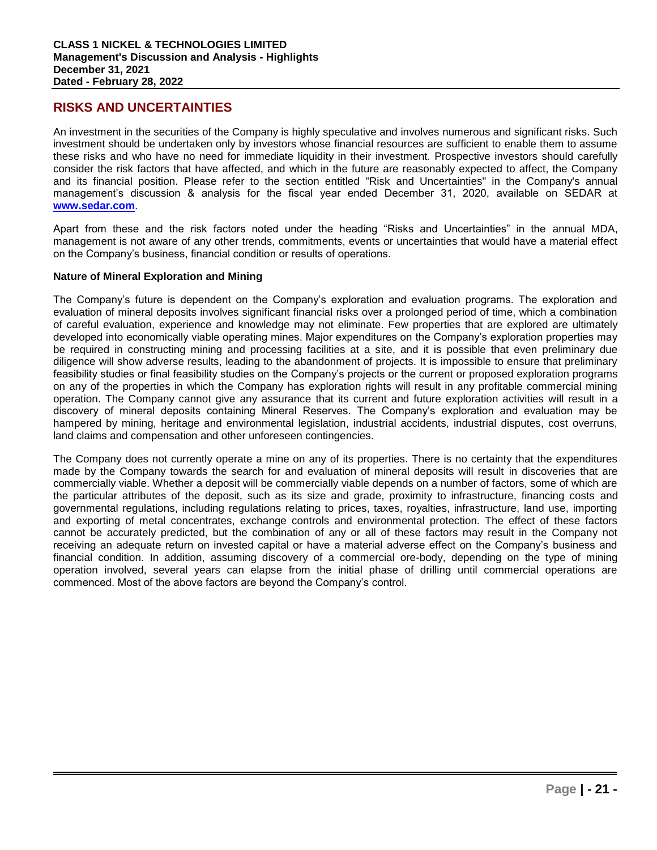## **RISKS AND UNCERTAINTIES**

An investment in the securities of the Company is highly speculative and involves numerous and significant risks. Such investment should be undertaken only by investors whose financial resources are sufficient to enable them to assume these risks and who have no need for immediate liquidity in their investment. Prospective investors should carefully consider the risk factors that have affected, and which in the future are reasonably expected to affect, the Company and its financial position. Please refer to the section entitled "Risk and Uncertainties" in the Company's annual management's discussion & analysis for the fiscal year ended December 31, 2020, available on SEDAR at **www.sedar.com**.

Apart from these and the risk factors noted under the heading "Risks and Uncertainties" in the annual MDA, management is not aware of any other trends, commitments, events or uncertainties that would have a material effect on the Company's business, financial condition or results of operations.

#### **Nature of Mineral Exploration and Mining**

The Company's future is dependent on the Company's exploration and evaluation programs. The exploration and evaluation of mineral deposits involves significant financial risks over a prolonged period of time, which a combination of careful evaluation, experience and knowledge may not eliminate. Few properties that are explored are ultimately developed into economically viable operating mines. Major expenditures on the Company's exploration properties may be required in constructing mining and processing facilities at a site, and it is possible that even preliminary due diligence will show adverse results, leading to the abandonment of projects. It is impossible to ensure that preliminary feasibility studies or final feasibility studies on the Company's projects or the current or proposed exploration programs on any of the properties in which the Company has exploration rights will result in any profitable commercial mining operation. The Company cannot give any assurance that its current and future exploration activities will result in a discovery of mineral deposits containing Mineral Reserves. The Company's exploration and evaluation may be hampered by mining, heritage and environmental legislation, industrial accidents, industrial disputes, cost overruns, land claims and compensation and other unforeseen contingencies.

The Company does not currently operate a mine on any of its properties. There is no certainty that the expenditures made by the Company towards the search for and evaluation of mineral deposits will result in discoveries that are commercially viable. Whether a deposit will be commercially viable depends on a number of factors, some of which are the particular attributes of the deposit, such as its size and grade, proximity to infrastructure, financing costs and governmental regulations, including regulations relating to prices, taxes, royalties, infrastructure, land use, importing and exporting of metal concentrates, exchange controls and environmental protection. The effect of these factors cannot be accurately predicted, but the combination of any or all of these factors may result in the Company not receiving an adequate return on invested capital or have a material adverse effect on the Company's business and financial condition. In addition, assuming discovery of a commercial ore-body, depending on the type of mining operation involved, several years can elapse from the initial phase of drilling until commercial operations are commenced. Most of the above factors are beyond the Company's control.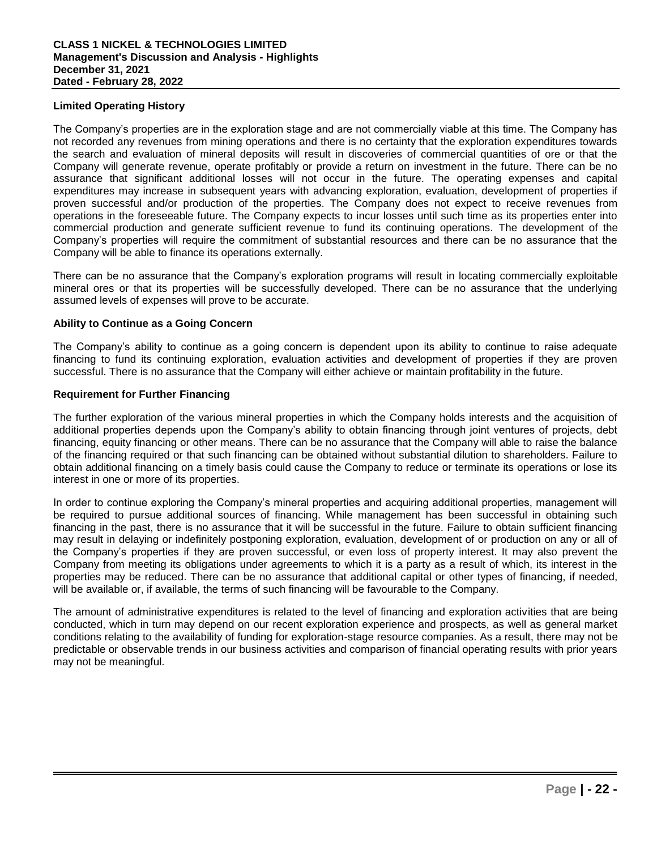## **Limited Operating History**

The Company's properties are in the exploration stage and are not commercially viable at this time. The Company has not recorded any revenues from mining operations and there is no certainty that the exploration expenditures towards the search and evaluation of mineral deposits will result in discoveries of commercial quantities of ore or that the Company will generate revenue, operate profitably or provide a return on investment in the future. There can be no assurance that significant additional losses will not occur in the future. The operating expenses and capital expenditures may increase in subsequent years with advancing exploration, evaluation, development of properties if proven successful and/or production of the properties. The Company does not expect to receive revenues from operations in the foreseeable future. The Company expects to incur losses until such time as its properties enter into commercial production and generate sufficient revenue to fund its continuing operations. The development of the Company's properties will require the commitment of substantial resources and there can be no assurance that the Company will be able to finance its operations externally.

There can be no assurance that the Company's exploration programs will result in locating commercially exploitable mineral ores or that its properties will be successfully developed. There can be no assurance that the underlying assumed levels of expenses will prove to be accurate.

## **Ability to Continue as a Going Concern**

The Company's ability to continue as a going concern is dependent upon its ability to continue to raise adequate financing to fund its continuing exploration, evaluation activities and development of properties if they are proven successful. There is no assurance that the Company will either achieve or maintain profitability in the future.

#### **Requirement for Further Financing**

The further exploration of the various mineral properties in which the Company holds interests and the acquisition of additional properties depends upon the Company's ability to obtain financing through joint ventures of projects, debt financing, equity financing or other means. There can be no assurance that the Company will able to raise the balance of the financing required or that such financing can be obtained without substantial dilution to shareholders. Failure to obtain additional financing on a timely basis could cause the Company to reduce or terminate its operations or lose its interest in one or more of its properties.

In order to continue exploring the Company's mineral properties and acquiring additional properties, management will be required to pursue additional sources of financing. While management has been successful in obtaining such financing in the past, there is no assurance that it will be successful in the future. Failure to obtain sufficient financing may result in delaying or indefinitely postponing exploration, evaluation, development of or production on any or all of the Company's properties if they are proven successful, or even loss of property interest. It may also prevent the Company from meeting its obligations under agreements to which it is a party as a result of which, its interest in the properties may be reduced. There can be no assurance that additional capital or other types of financing, if needed, will be available or, if available, the terms of such financing will be favourable to the Company.

The amount of administrative expenditures is related to the level of financing and exploration activities that are being conducted, which in turn may depend on our recent exploration experience and prospects, as well as general market conditions relating to the availability of funding for exploration-stage resource companies. As a result, there may not be predictable or observable trends in our business activities and comparison of financial operating results with prior years may not be meaningful.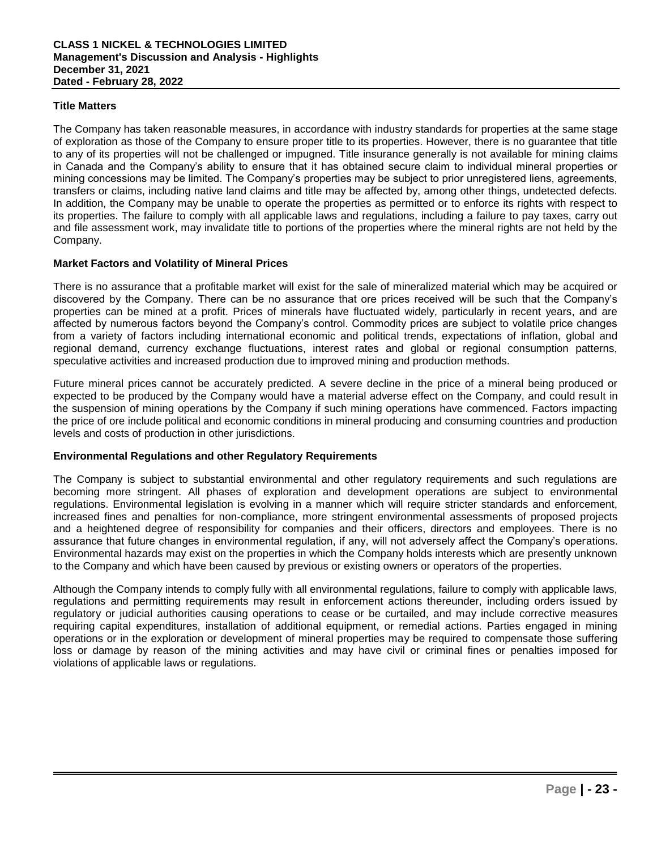## **Title Matters**

The Company has taken reasonable measures, in accordance with industry standards for properties at the same stage of exploration as those of the Company to ensure proper title to its properties. However, there is no guarantee that title to any of its properties will not be challenged or impugned. Title insurance generally is not available for mining claims in Canada and the Company's ability to ensure that it has obtained secure claim to individual mineral properties or mining concessions may be limited. The Company's properties may be subject to prior unregistered liens, agreements, transfers or claims, including native land claims and title may be affected by, among other things, undetected defects. In addition, the Company may be unable to operate the properties as permitted or to enforce its rights with respect to its properties. The failure to comply with all applicable laws and regulations, including a failure to pay taxes, carry out and file assessment work, may invalidate title to portions of the properties where the mineral rights are not held by the Company.

## **Market Factors and Volatility of Mineral Prices**

There is no assurance that a profitable market will exist for the sale of mineralized material which may be acquired or discovered by the Company. There can be no assurance that ore prices received will be such that the Company's properties can be mined at a profit. Prices of minerals have fluctuated widely, particularly in recent years, and are affected by numerous factors beyond the Company's control. Commodity prices are subject to volatile price changes from a variety of factors including international economic and political trends, expectations of inflation, global and regional demand, currency exchange fluctuations, interest rates and global or regional consumption patterns, speculative activities and increased production due to improved mining and production methods.

Future mineral prices cannot be accurately predicted. A severe decline in the price of a mineral being produced or expected to be produced by the Company would have a material adverse effect on the Company, and could result in the suspension of mining operations by the Company if such mining operations have commenced. Factors impacting the price of ore include political and economic conditions in mineral producing and consuming countries and production levels and costs of production in other jurisdictions.

## **Environmental Regulations and other Regulatory Requirements**

The Company is subject to substantial environmental and other regulatory requirements and such regulations are becoming more stringent. All phases of exploration and development operations are subject to environmental regulations. Environmental legislation is evolving in a manner which will require stricter standards and enforcement, increased fines and penalties for non-compliance, more stringent environmental assessments of proposed projects and a heightened degree of responsibility for companies and their officers, directors and employees. There is no assurance that future changes in environmental regulation, if any, will not adversely affect the Company's operations. Environmental hazards may exist on the properties in which the Company holds interests which are presently unknown to the Company and which have been caused by previous or existing owners or operators of the properties.

Although the Company intends to comply fully with all environmental regulations, failure to comply with applicable laws, regulations and permitting requirements may result in enforcement actions thereunder, including orders issued by regulatory or judicial authorities causing operations to cease or be curtailed, and may include corrective measures requiring capital expenditures, installation of additional equipment, or remedial actions. Parties engaged in mining operations or in the exploration or development of mineral properties may be required to compensate those suffering loss or damage by reason of the mining activities and may have civil or criminal fines or penalties imposed for violations of applicable laws or regulations.